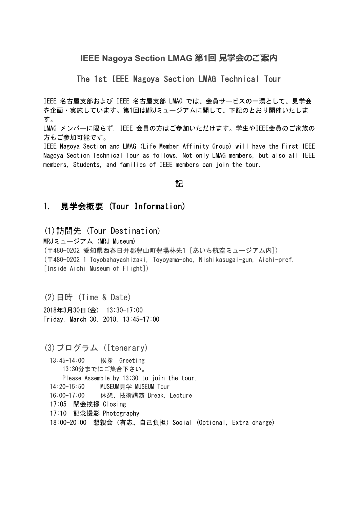# IEEE Nagoya Section LMAG 第1回 見学会のご案内

The 1st IEEE Nagoya Section LMAG Technical Tour

IEEE 名古屋支部および IEEE 名古屋支部 LMAG では、会員サービスの一環として、見学会 を企画・実施しています。第1回はMRJミュージアムに関して、下記のとおり開催いたしま す。

LMAG メンバーに限らず, IEEE 会員の方はご参加いただけます。学生やIEEE会員のご家族の 方もご参加可能です。

IEEE Nagoya Section and LMAG (Life Member Affinity Group) will have the First IEEE Nagoya Section Technical Tour as follows. Not only LMAG members, but also all IEEE members, Students, and families of IEEE members can join the tour.

#### 記

### 1. 見学会概要 (Tour Information)

(1)訪問先 (Tour Destination)

MRJミュージアム (MRJ Museum) (〒480-0202 愛知県西春日井郡豊山町豊場林先1 [あいち航空ミュージアム内]) (〒480-0202 1 Toyobahayashizaki, Toyoyama-cho, Nishikasugai-gun, Aichi-pref. [Inside Aichi Museum of Flight])

(2)日時 (Time & Date) 2018年3月30日(金) 13:30-17:00 Friday, March 30, 2018, 13:45-17:00

(3)プログラム (Itenerary)

 13:45-14:00 挨拶 Greeting 13:30分までにご集合下さい。 Please Assemble by 13:30 to join the tour. 14:20-15:50 MUSEUM見学 MUSEUM Tour 16:00-17:00 休憩、技術講演 Break, Lecture 17:05 閉会挨拶 Closing 17:10 記念撮影 Photography 18:00-20:00 懇親会 (有志、自己負担) Social (Optional, Extra charge)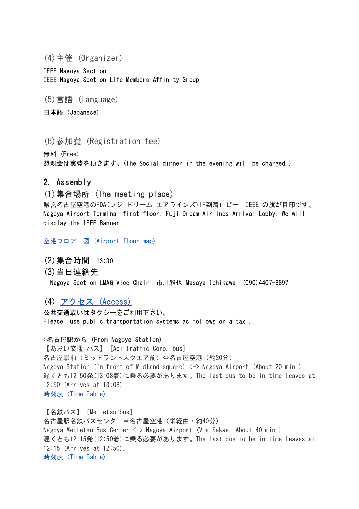(4)主催 (Organizer)

IEEE Nagoya Section IEEE Nagoya Section Life Members Affinity Group

(5)言語 (Language)

日本語 (Japanese)

(6)参加費 (Registration fee)

無料 (Free) 懇親会は実費を頂きます。(The Social dinner in the evening will be charged.)

2. Assembly

(1)集合場所 (The meeting place)

県営名古屋空港のFDA(フジ ドリーム エアラインズ)1F到着ロビー IEEE の旗が目印です。 Nagoya Airport Terminal first floor. Fuji Dream Airlines Arrival Lobby. We will display the IEEE Banner.

[空港フロアー図](http://www.nagoya-airport-bldg.co.jp/map/) (Airport floor map)

- (2)集合時間 13:30
- (3)当日連絡先 Nagoya Section LMAG Vice Chair 市川雅也 Masaya Ichikawa (090)4407-8897

(4) アクセス [\(Access\)](http://www.mhi.co.jp/mrjmuseum/access/index.html)

公共交通或いはタクシーをご利用下さい。 Please, use public transportation systems as follows or a taxi.

**▷名古屋駅から (From Nagoya Station)** 【あおい交通 バス】 [Aoi Traffic Corp. bus] 名古屋駅前(ミッドランドスクエア前)⇔名古屋空港(約20分) Nagoya Station (In front of Midland square)  $\langle - \rangle$  Nagoya Airport (About 20 min.) 遅くとも12:50発(13:08着)に乗る必要があります。The last bus to be in time leaves at 12:50 (Arrives at 13:08). [時刻表](http://aoi-komaki.jp/apshuttle1) (Time Table)

【名鉄バス】 [Meitetsu bus] 名古屋駅名鉄バスセンター⇔名古屋空港(栄経由・約40分) Nagoya Meitetsu Bus Center <-> Nagoya Airport (Via Sakae, About 40 min.) 遅くとも12:15発(12:50着)に乗る必要があります。The last bus to be in time leaves at 12:15 (Arrives at 12:50). [時刻表](http://www.meitetsu-bus.co.jp/airport/nagoyaairport) (Time Table)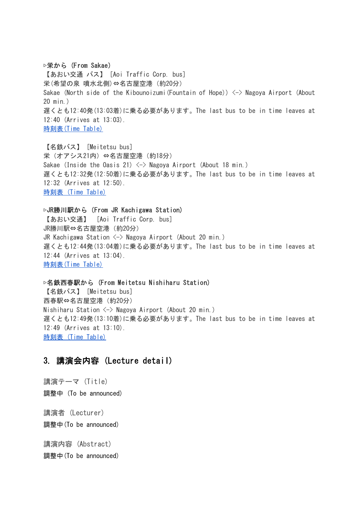**▷栄から (From Sakae)** 【あおい交通 バス】 [Aoi Traffic Corp. bus] 栄(希望の泉 噴水北側)⇔名古屋空港(約20分) Sakae (North side of the Kibounoizumi (Fountain of Hope))  $\langle - \rangle$  Nagoya Airport (About 20 min.) 遅くとも12:40発(13:03着)に乗る必要があります。The last bus to be in time leaves at 12:40 (Arrives at 13:03). [時刻表\(Time](http://aoi-komaki.jp/apshuttle3) Table)

【名鉄バス】 [Meitetsu bus] 栄(オアシス21内)⇔名古屋空港(約18分) Sakae (Inside the Oasis 21)  $\langle - \rangle$  Nagoya Airport (About 18 min.) 遅くとも12:32発(12:50着)に乗る必要があります。The last bus to be in time leaves at 12:32 (Arrives at 12:50). [時刻表](http://www.meitetsu-bus.co.jp/airport/nagoyaairport) (Time Table)

**▷JR勝川駅から (From JR Kachigawa Station)** 【あおい交通】 [Aoi Traffic Corp. bus] JR勝川駅⇔名古屋空港(約20分) JR Kachigawa Station  $\langle - \rangle$  Nagoya Airport (About 20 min.) 遅くとも12:44発(13:04着)に乗る必要があります。The last bus to be in time leaves at 12:44 (Arrives at 13:04). [時刻表\(Time](http://aoi-komaki.jp/apshuttle2) Table)

**▷名鉄西春駅から (From Meitetsu Nishiharu Station)** 【名鉄バス】 [Meitetsu bus] 西春駅⇔名古屋空港(約20分) Nishiharu Station <-> Nagoya Airport (About 20 min.) 遅くとも12:49発(13:10着)に乗る必要があります。The last bus to be in time leaves at 12:49 (Arrives at 13:10). [時刻表](http://www.meitetsu-bus.co.jp/info/detail/542) (Time Table[\)](http://www.ndl.go.jp/jp/service/kansai/guide/insidemap.html)

#### 3. 講演会内容 (Lecture detail)

講演テーマ (Title) 調整中 (To be announced) 講演者 (Lecturer) 調整中(To be announced)

講演内容 (Abstract) 調整中(To be announced)